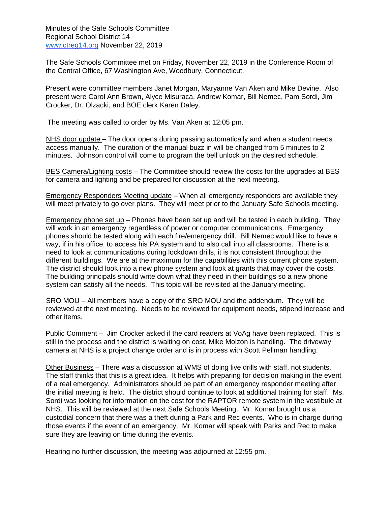Minutes of the Safe Schools Committee Regional School District 14 [www.ctreg14.org N](http://www.ctreg14.org/)ovember 22, 2019

 The Safe Schools Committee met on Friday, November 22, 2019 in the Conference Room of the Central Office, 67 Washington Ave, Woodbury, Connecticut.

 Present were committee members Janet Morgan, Maryanne Van Aken and Mike Devine. Also present were Carol Ann Brown, Alyce Misuraca, Andrew Komar, Bill Nemec, Pam Sordi, Jim Crocker, Dr. Olzacki, and BOE clerk Karen Daley.

The meeting was called to order by Ms. Van Aken at 12:05 pm.

NHS door update - The door opens during passing automatically and when a student needs access manually. The duration of the manual buzz in will be changed from 5 minutes to 2 minutes. Johnson control will come to program the bell unlock on the desired schedule.

BES Camera/Lighting costs - The Committee should review the costs for the upgrades at BES for camera and lighting and be prepared for discussion at the next meeting.

Emergency Responders Meeting update - When all emergency responders are available they will meet privately to go over plans. They will meet prior to the January Safe Schools meeting.

Emergency phone set up – Phones have been set up and will be tested in each building. They will work in an emergency regardless of power or computer communications. Emergency phones should be tested along with each fire/emergency drill. Bill Nemec would like to have a way, if in his office, to access his PA system and to also call into all classrooms. There is a need to look at communications during lockdown drills, it is not consistent throughout the different buildings. We are at the maximum for the capabilities with this current phone system. The district should look into a new phone system and look at grants that may cover the costs. The building principals should write down what they need in their buildings so a new phone system can satisfy all the needs. This topic will be revisited at the January meeting.

SRO MOU – All members have a copy of the SRO MOU and the addendum. They will be reviewed at the next meeting. Needs to be reviewed for equipment needs, stipend increase and other items.

Public Comment – Jim Crocker asked if the card readers at VoAg have been replaced. This is still in the process and the district is waiting on cost, Mike Molzon is handling. The driveway camera at NHS is a project change order and is in process with Scott Pellman handling.

Other Business - There was a discussion at WMS of doing live drills with staff, not students. The staff thinks that this is a great idea. It helps with preparing for decision making in the event of a real emergency. Administrators should be part of an emergency responder meeting after the initial meeting is held. The district should continue to look at additional training for staff. Ms. Sordi was looking for information on the cost for the RAPTOR remote system in the vestibule at NHS. This will be reviewed at the next Safe Schools Meeting. Mr. Komar brought us a custodial concern that there was a theft during a Park and Rec events. Who is in charge during those events if the event of an emergency. Mr. Komar will speak with Parks and Rec to make sure they are leaving on time during the events.

Hearing no further discussion, the meeting was adjourned at 12:55 pm.